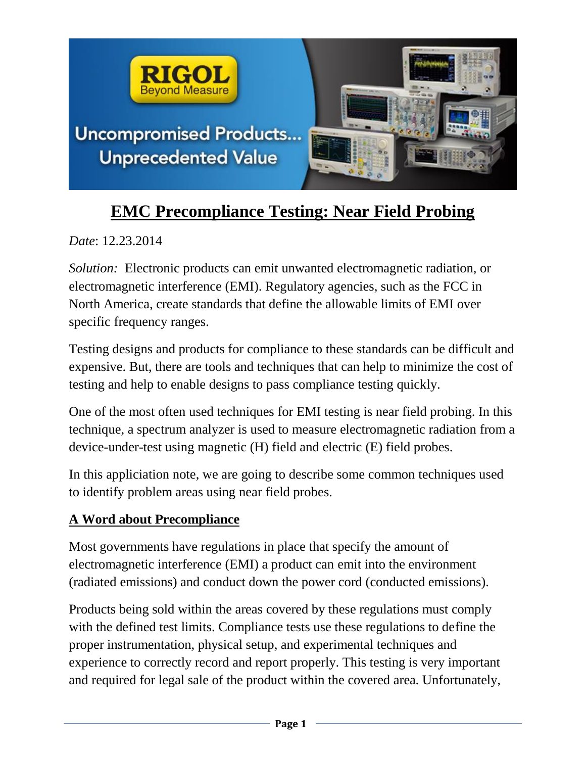

# **EMC Precompliance Testing: Near Field Probing**

*Date*: 12.23.2014

*Solution:* Electronic products can emit unwanted electromagnetic radiation, or electromagnetic interference (EMI). Regulatory agencies, such as the FCC in North America, create standards that define the allowable limits of EMI over specific frequency ranges.

Testing designs and products for compliance to these standards can be difficult and expensive. But, there are tools and techniques that can help to minimize the cost of testing and help to enable designs to pass compliance testing quickly.

One of the most often used techniques for EMI testing is near field probing. In this technique, a spectrum analyzer is used to measure electromagnetic radiation from a device-under-test using magnetic (H) field and electric (E) field probes.

In this appliciation note, we are going to describe some common techniques used to identify problem areas using near field probes.

## **A Word about Precompliance**

Most governments have regulations in place that specify the amount of electromagnetic interference (EMI) a product can emit into the environment (radiated emissions) and conduct down the power cord (conducted emissions).

Products being sold within the areas covered by these regulations must comply with the defined test limits. Compliance tests use these regulations to define the proper instrumentation, physical setup, and experimental techniques and experience to correctly record and report properly. This testing is very important and required for legal sale of the product within the covered area. Unfortunately,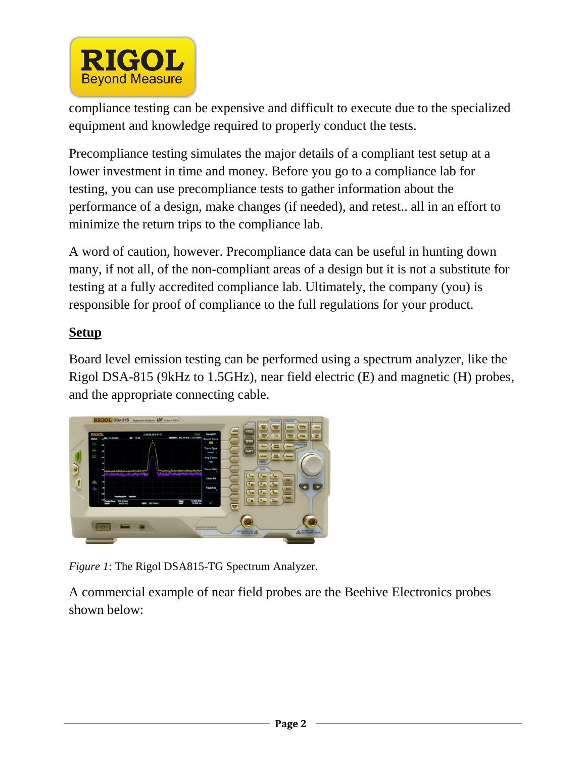

compliance testing can be expensive and difficult to execute due to the specialized equipment and knowledge required to properly conduct the tests.

Precompliance testing simulates the major details of a compliant test setup at a lower investment in time and money. Before you go to a compliance lab for testing, you can use precompliance tests to gather information about the performance of a design, make changes (if needed), and retest.. all in an effort to minimize the return trips to the compliance lab.

A word of caution, however. Precompliance data can be useful in hunting down many, if not all, of the non-compliant areas of a design but it is not a substitute for testing at a fully accredited compliance lab. Ultimately, the company (you) is responsible for proof of compliance to the full regulations for your product.

## **Setup**

Board level emission testing can be performed using a spectrum analyzer, like the Rigol DSA-815 (9kHz to 1.5GHz), near field electric (E) and magnetic (H) probes, and the appropriate connecting cable.



*Figure 1*: The Rigol DSA815-TG Spectrum Analyzer.

A commercial example of near field probes are the Beehive Electronics probes shown below: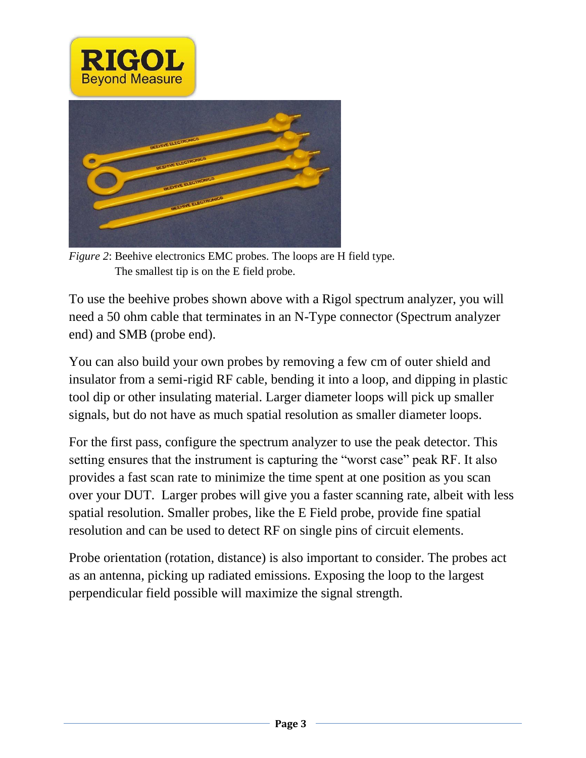



*Figure 2*: Beehive electronics EMC probes. The loops are H field type. The smallest tip is on the E field probe.

To use the beehive probes shown above with a Rigol spectrum analyzer, you will need a 50 ohm cable that terminates in an N-Type connector (Spectrum analyzer end) and SMB (probe end).

You can also build your own probes by removing a few cm of outer shield and insulator from a semi-rigid RF cable, bending it into a loop, and dipping in plastic tool dip or other insulating material. Larger diameter loops will pick up smaller signals, but do not have as much spatial resolution as smaller diameter loops.

For the first pass, configure the spectrum analyzer to use the peak detector. This setting ensures that the instrument is capturing the "worst case" peak RF. It also provides a fast scan rate to minimize the time spent at one position as you scan over your DUT. Larger probes will give you a faster scanning rate, albeit with less spatial resolution. Smaller probes, like the E Field probe, provide fine spatial resolution and can be used to detect RF on single pins of circuit elements.

Probe orientation (rotation, distance) is also important to consider. The probes act as an antenna, picking up radiated emissions. Exposing the loop to the largest perpendicular field possible will maximize the signal strength.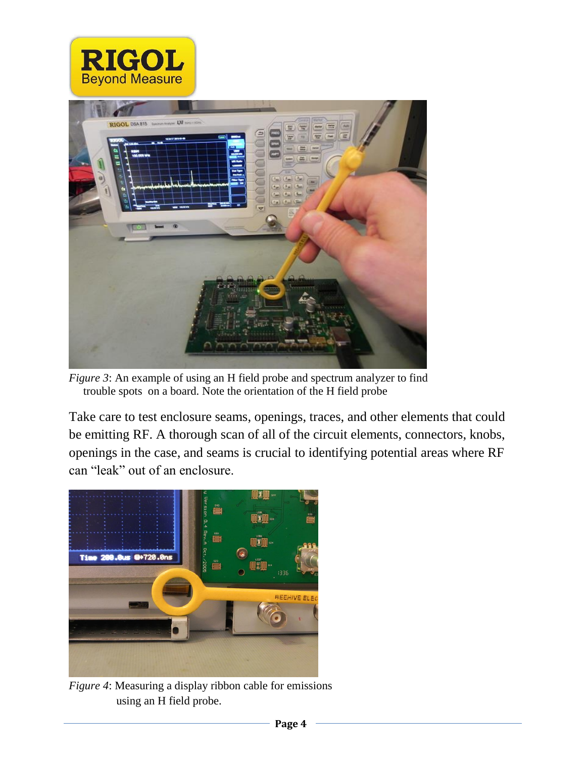



*Figure 3*: An example of using an H field probe and spectrum analyzer to find trouble spots on a board. Note the orientation of the H field probe

Take care to test enclosure seams, openings, traces, and other elements that could be emitting RF. A thorough scan of all of the circuit elements, connectors, knobs, openings in the case, and seams is crucial to identifying potential areas where RF can "leak" out of an enclosure.



*Figure 4*: Measuring a display ribbon cable for emissions using an H field probe.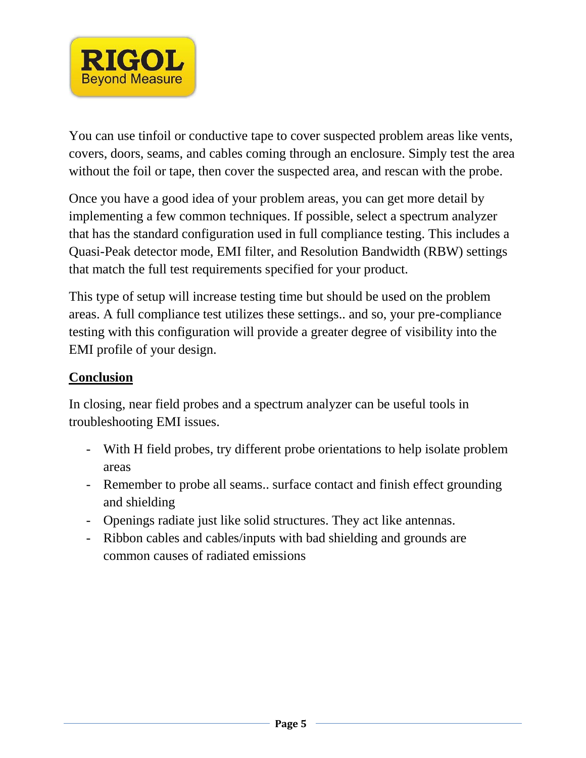

You can use tinfoil or conductive tape to cover suspected problem areas like vents, covers, doors, seams, and cables coming through an enclosure. Simply test the area without the foil or tape, then cover the suspected area, and rescan with the probe.

Once you have a good idea of your problem areas, you can get more detail by implementing a few common techniques. If possible, select a spectrum analyzer that has the standard configuration used in full compliance testing. This includes a Quasi-Peak detector mode, EMI filter, and Resolution Bandwidth (RBW) settings that match the full test requirements specified for your product.

This type of setup will increase testing time but should be used on the problem areas. A full compliance test utilizes these settings.. and so, your pre-compliance testing with this configuration will provide a greater degree of visibility into the EMI profile of your design.

## **Conclusion**

In closing, near field probes and a spectrum analyzer can be useful tools in troubleshooting EMI issues.

- With H field probes, try different probe orientations to help isolate problem areas
- Remember to probe all seams.. surface contact and finish effect grounding and shielding
- Openings radiate just like solid structures. They act like antennas.
- Ribbon cables and cables/inputs with bad shielding and grounds are common causes of radiated emissions